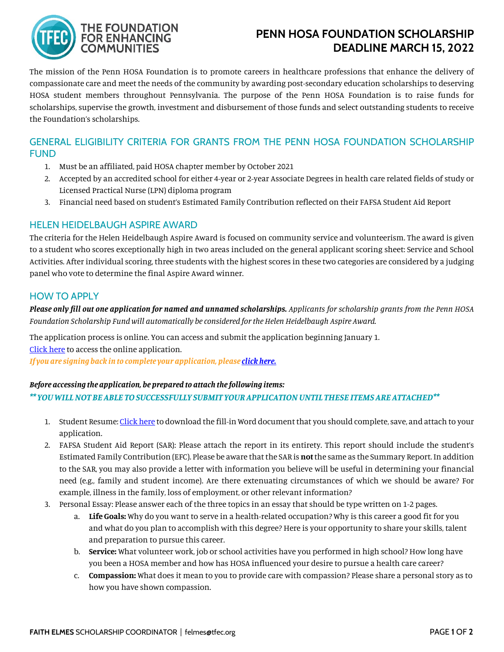

# **PENN HOSA FOUNDATION SCHOLARSHIP DEADLINE MARCH 15, 2022**

The mission of the Penn HOSA Foundation is to promote careers in healthcare professions that enhance the delivery of compassionate care and meet the needs of the community by awarding post-secondary education scholarships to deserving HOSA student members throughout Pennsylvania. The purpose of the Penn HOSA Foundation is to raise funds for scholarships, supervise the growth, investment and disbursement of those funds and select outstanding students to receive the Foundation's scholarships.

## GENERAL ELIGIBILITY CRITERIA FOR GRANTS FROM THE PENN HOSA FOUNDATION SCHOLARSHIP FUND

- 1. Must be an affiliated, paid HOSA chapter member by October 2021
- 2. Accepted by an accredited school for either 4-year or 2-year Associate Degrees in health care related fields of study or Licensed Practical Nurse (LPN) diploma program
- 3. Financial need based on student's Estimated Family Contribution reflected on their FAFSA Student Aid Report

## HELEN HEIDELBAUGH ASPIRE AWARD

The criteria for the Helen Heidelbaugh Aspire Award is focused on community service and volunteerism. The award is given to a student who scores exceptionally high in two areas included on the general applicant scoring sheet: Service and School Activities. After individual scoring, three students with the highest scores in these two categories are considered by a judging panel who vote to determine the final Aspire Award winner.

## HOW TO APPLY

*Please only fill out one application for named and unnamed scholarships. Applicants for scholarship grants from the Penn HOSA Foundation Scholarship Fund will automatically be considered for the Helen Heidelbaugh Aspire Award.*

The application process is online. You can access and submit the application beginning January 1. [Click here](https://www.grantrequest.com/SID_1351?SA=SNA&FID=35145) to access the online application.

*If you are signing back in to complete your application, pleas[e click here.](https://www.grantrequest.com/SID_1351)*

#### *Before accessing the application, be prepared to attach the following items:*

*\*\* YOU WILL NOT BE ABLE TO SUCCESSFULLY SUBMIT YOUR APPLICATION UNTIL THESE ITEMS ARE ATTACHED\*\**

- 1. Student Resume[: Click here](https://www.tfec.org/wp-content/uploads/StudentResumePennHOSA.pdf) to download the fill-in Word document that you should complete, save, and attach to your application.
- 2. FAFSA Student Aid Report (SAR): Please attach the report in its entirety. This report should include the student's Estimated Family Contribution (EFC). Please be aware that the SAR is **not** the same as the Summary Report.In addition to the SAR, you may also provide a letter with information you believe will be useful in determining your financial need (e.g., family and student income). Are there extenuating circumstances of which we should be aware? For example, illness in the family, loss of employment, or other relevant information?
- 3. Personal Essay: Please answer each of the three topics in an essay that should be type written on 1-2 pages.
	- a. **Life Goals:** Why do you want to serve in a health-related occupation? Why is this career a good fit for you and what do you plan to accomplish with this degree? Here is your opportunity to share your skills, talent and preparation to pursue this career.
	- b. **Service:** What volunteer work, job or school activities have you performed in high school? How long have you been a HOSA member and how has HOSA influenced your desire to pursue a health care career?
	- c. **Compassion:** What does it mean to you to provide care with compassion? Please share a personal story as to how you have shown compassion.